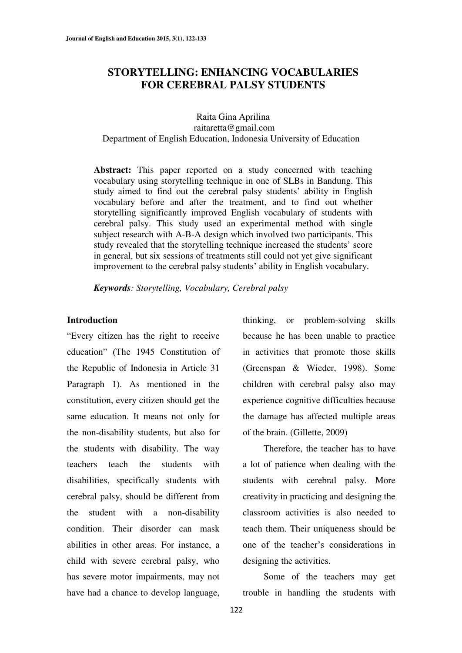# **STORYTELLING: ENHANCING VOCABULARIES FOR CEREBRAL PALSY STUDENTS**

Raita Gina Aprilina raitaretta@gmail.com Department of English Education, Indonesia University of Education

**Abstract:** This paper reported on a study concerned with teaching vocabulary using storytelling technique in one of SLBs in Bandung. This study aimed to find out the cerebral palsy students' ability in English vocabulary before and after the treatment, and to find out whether storytelling significantly improved English vocabulary of students with cerebral palsy. This study used an experimental method with single subject research with A-B-A design which involved two participants. This study revealed that the storytelling technique increased the students' score in general, but six sessions of treatments still could not yet give significant improvement to the cerebral palsy students' ability in English vocabulary.

*Keywords: Storytelling, Vocabulary, Cerebral palsy* 

### **Introduction**

"Every citizen has the right to receive education" (The 1945 Constitution of the Republic of Indonesia in Article 31 Paragraph 1). As mentioned in the constitution, every citizen should get the same education. It means not only for the non-disability students, but also for the students with disability. The way teachers teach the students with disabilities, specifically students with cerebral palsy, should be different from the student with a non-disability condition. Their disorder can mask abilities in other areas. For instance, a child with severe cerebral palsy, who has severe motor impairments, may not have had a chance to develop language,

thinking, or problem-solving skills because he has been unable to practice in activities that promote those skills (Greenspan & Wieder, 1998). Some children with cerebral palsy also may experience cognitive difficulties because the damage has affected multiple areas of the brain. (Gillette, 2009)

Therefore, the teacher has to have a lot of patience when dealing with the students with cerebral palsy. More creativity in practicing and designing the classroom activities is also needed to teach them. Their uniqueness should be one of the teacher's considerations in designing the activities.

Some of the teachers may get trouble in handling the students with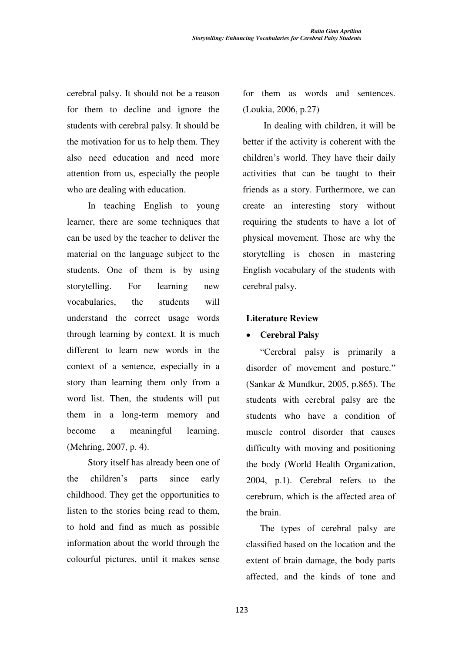cerebral palsy. It should not be a reason for them to decline and ignore the students with cerebral palsy. It should be the motivation for us to help them. They also need education and need more attention from us, especially the people who are dealing with education.

In teaching English to young learner, there are some techniques that can be used by the teacher to deliver the material on the language subject to the students. One of them is by using storytelling. For learning new vocabularies, the students will understand the correct usage words through learning by context. It is much different to learn new words in the context of a sentence, especially in a story than learning them only from a word list. Then, the students will put them in a long-term memory and become a meaningful learning. (Mehring, 2007, p. 4).

Story itself has already been one of the children's parts since early childhood. They get the opportunities to listen to the stories being read to them, to hold and find as much as possible information about the world through the colourful pictures, until it makes sense

for them as words and sentences. (Loukia, 2006, p.27)

In dealing with children, it will be better if the activity is coherent with the children's world. They have their daily activities that can be taught to their friends as a story. Furthermore, we can create an interesting story without requiring the students to have a lot of physical movement. Those are why the storytelling is chosen in mastering English vocabulary of the students with cerebral palsy.

## **Literature Review**

## x **Cerebral Palsy**

"Cerebral palsy is primarily a disorder of movement and posture." (Sankar & Mundkur, 2005, p.865). The students with cerebral palsy are the students who have a condition of muscle control disorder that causes difficulty with moving and positioning the body (World Health Organization, 2004, p.1). Cerebral refers to the cerebrum, which is the affected area of the brain.

The types of cerebral palsy are classified based on the location and the extent of brain damage, the body parts affected, and the kinds of tone and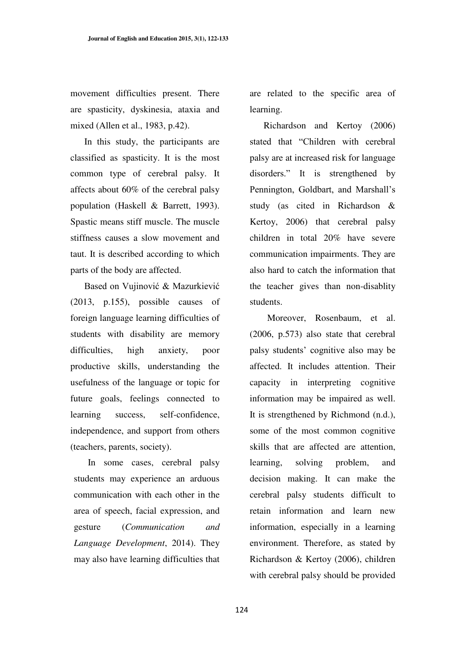movement difficulties present. There are spasticity, dyskinesia, ataxia and mixed (Allen et al., 1983, p.42).

In this study, the participants are classified as spasticity. It is the most common type of cerebral palsy. It affects about 60% of the cerebral palsy population (Haskell & Barrett, 1993). Spastic means stiff muscle. The muscle stiffness causes a slow movement and taut. It is described according to which parts of the body are affected.

Based on Vujinović & Mazurkiević (2013, p.155), possible causes of foreign language learning difficulties of students with disability are memory difficulties, high anxiety, poor productive skills, understanding the usefulness of the language or topic for future goals, feelings connected to learning success, self-confidence, independence, and support from others (teachers, parents, society).

In some cases, cerebral palsy students may experience an arduous communication with each other in the area of speech, facial expression, and gesture (*Communication and Language Development*, 2014). They may also have learning difficulties that

are related to the specific area of learning.

Richardson and Kertoy (2006) stated that "Children with cerebral palsy are at increased risk for language disorders." It is strengthened by Pennington, Goldbart, and Marshall's study (as cited in Richardson & Kertoy, 2006) that cerebral palsy children in total 20% have severe communication impairments. They are also hard to catch the information that the teacher gives than non-disablity students.

Moreover, Rosenbaum, et al. (2006, p.573) also state that cerebral palsy students' cognitive also may be affected. It includes attention. Their capacity in interpreting cognitive information may be impaired as well. It is strengthened by Richmond (n.d.), some of the most common cognitive skills that are affected are attention, learning, solving problem, and decision making. It can make the cerebral palsy students difficult to retain information and learn new information, especially in a learning environment. Therefore, as stated by Richardson & Kertoy (2006), children with cerebral palsy should be provided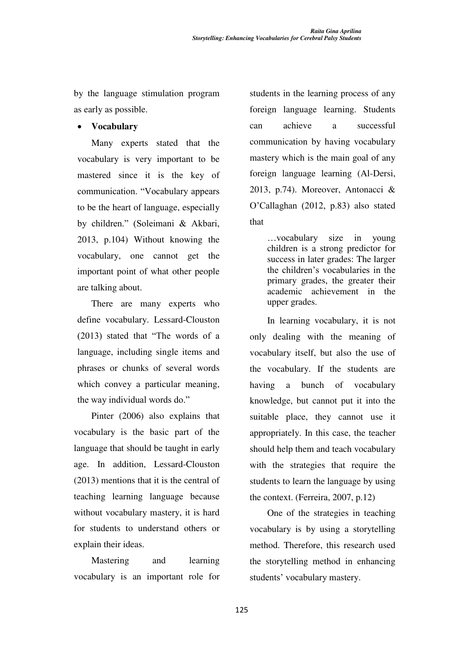by the language stimulation program as early as possible.

# x **Vocabulary**

 Many experts stated that the vocabulary is very important to be mastered since it is the key of communication. "Vocabulary appears to be the heart of language, especially by children." (Soleimani & Akbari, 2013, p.104) Without knowing the vocabulary, one cannot get the important point of what other people are talking about.

There are many experts who define vocabulary. Lessard-Clouston  $(2013)$  stated that "The words of a language, including single items and phrases or chunks of several words which convey a particular meaning, the way individual words do."

Pinter (2006) also explains that vocabulary is the basic part of the language that should be taught in early age. In addition, Lessard-Clouston (2013) mentions that it is the central of teaching learning language because without vocabulary mastery, it is hard for students to understand others or explain their ideas.

Mastering and learning vocabulary is an important role for students in the learning process of any foreign language learning. Students can achieve a successful communication by having vocabulary mastery which is the main goal of any foreign language learning (Al-Dersi, 2013, p.74). Moreover, Antonacci & O'Callaghan (2012, p.83) also stated that

> ...vocabulary size in young children is a strong predictor for success in later grades: The larger the children's vocabularies in the primary grades, the greater their academic achievement in the upper grades.

 In learning vocabulary, it is not only dealing with the meaning of vocabulary itself, but also the use of the vocabulary. If the students are having a bunch of vocabulary knowledge, but cannot put it into the suitable place, they cannot use it appropriately. In this case, the teacher should help them and teach vocabulary with the strategies that require the students to learn the language by using the context. (Ferreira, 2007, p.12)

 One of the strategies in teaching vocabulary is by using a storytelling method. Therefore, this research used the storytelling method in enhancing students' vocabulary mastery.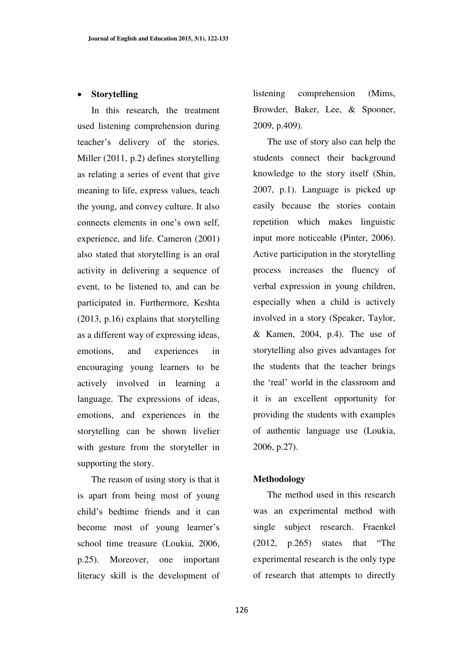#### x **Storytelling**

 In this research, the treatment used listening comprehension during teacher's delivery of the stories. Miller (2011, p.2) defines storytelling as relating a series of event that give meaning to life, express values, teach the young, and convey culture. It also connects elements in one's own self. experience, and life. Cameron (2001) also stated that storytelling is an oral activity in delivering a sequence of event, to be listened to, and can be participated in. Furthermore, Keshta (2013, p.16) explains that storytelling as a different way of expressing ideas, emotions, and experiences in encouraging young learners to be actively involved in learning a language. The expressions of ideas, emotions, and experiences in the storytelling can be shown livelier with gesture from the storyteller in supporting the story.

 The reason of using story is that it is apart from being most of young child's bedtime friends and it can become most of young learner's school time treasure (Loukia, 2006, p.25). Moreover, one important literacy skill is the development of listening comprehension (Mims, Browder, Baker, Lee, & Spooner, 2009, p.409).

 The use of story also can help the students connect their background knowledge to the story itself (Shin, 2007, p.1). Language is picked up easily because the stories contain repetition which makes linguistic input more noticeable (Pinter, 2006). Active participation in the storytelling process increases the fluency of verbal expression in young children, especially when a child is actively involved in a story (Speaker, Taylor, & Kamen, 2004, p.4). The use of storytelling also gives advantages for the students that the teacher brings the 'real' world in the classroom and it is an excellent opportunity for providing the students with examples of authentic language use (Loukia, 2006, p.27).

#### **Methodology**

 The method used in this research was an experimental method with single subject research. Fraenkel  $(2012, p.265)$  states that "The experimental research is the only type of research that attempts to directly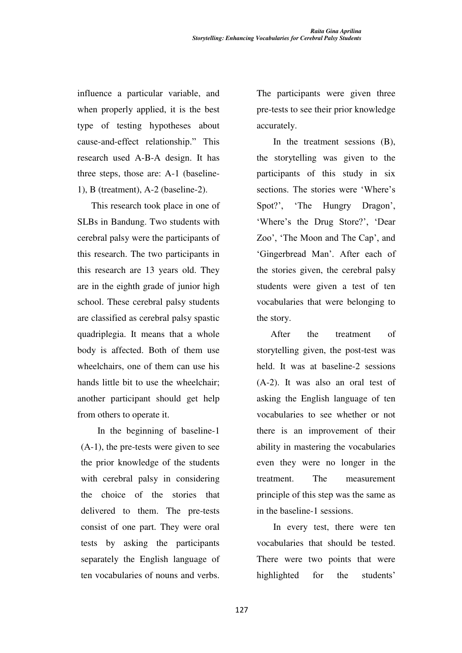influence a particular variable, and when properly applied, it is the best type of testing hypotheses about cause-and-effect relationship." This research used A-B-A design. It has three steps, those are: A-1 (baseline-1), B (treatment), A-2 (baseline-2).

 This research took place in one of SLBs in Bandung. Two students with cerebral palsy were the participants of this research. The two participants in this research are 13 years old. They are in the eighth grade of junior high school. These cerebral palsy students are classified as cerebral palsy spastic quadriplegia. It means that a whole body is affected. Both of them use wheelchairs, one of them can use his hands little bit to use the wheelchair; another participant should get help from others to operate it.

In the beginning of baseline-1 (A-1), the pre-tests were given to see the prior knowledge of the students with cerebral palsy in considering the choice of the stories that delivered to them. The pre-tests consist of one part. They were oral tests by asking the participants separately the English language of ten vocabularies of nouns and verbs. The participants were given three pre-tests to see their prior knowledge accurately.

In the treatment sessions (B), the storytelling was given to the participants of this study in six sections. The stories were 'Where's Spot?', 'The Hungry Dragon', 'Where's the Drug Store?', 'Dear Zoo', 'The Moon and The Cap', and 'Gingerbread Man'. After each of the stories given, the cerebral palsy students were given a test of ten vocabularies that were belonging to the story.

After the treatment of storytelling given, the post-test was held. It was at baseline-2 sessions (A-2). It was also an oral test of asking the English language of ten vocabularies to see whether or not there is an improvement of their ability in mastering the vocabularies even they were no longer in the treatment. The measurement principle of this step was the same as in the baseline-1 sessions.

In every test, there were ten vocabularies that should be tested. There were two points that were highlighted for the students'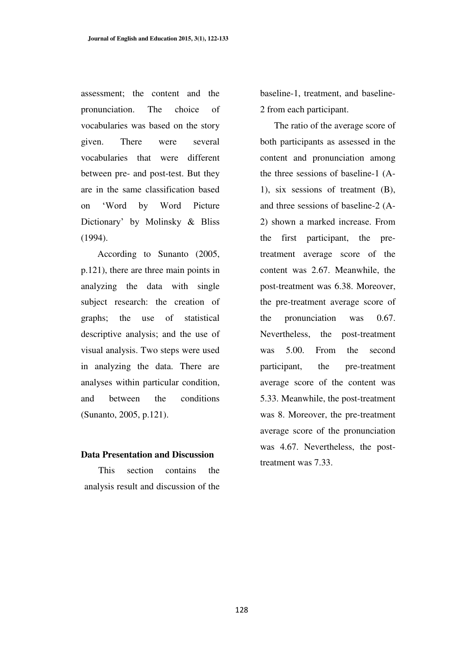assessment; the content and the pronunciation. The choice of vocabularies was based on the story given. There were several vocabularies that were different between pre- and post-test. But they are in the same classification based on 'Word by Word Picture Dictionary' by Molinsky  $\&$  Bliss (1994).

According to Sunanto (2005, p.121), there are three main points in analyzing the data with single subject research: the creation of graphs; the use of statistical descriptive analysis; and the use of visual analysis. Two steps were used in analyzing the data. There are analyses within particular condition, and between the conditions (Sunanto, 2005, p.121).

### **Data Presentation and Discussion**

This section contains the analysis result and discussion of the baseline-1, treatment, and baseline-2 from each participant.

The ratio of the average score of both participants as assessed in the content and pronunciation among the three sessions of baseline-1 (A-1), six sessions of treatment (B), and three sessions of baseline-2 (A-2) shown a marked increase. From the first participant, the pretreatment average score of the content was 2.67. Meanwhile, the post-treatment was 6.38. Moreover, the pre-treatment average score of the pronunciation was 0.67. Nevertheless, the post-treatment was 5.00. From the second participant, the pre-treatment average score of the content was 5.33. Meanwhile, the post-treatment was 8. Moreover, the pre-treatment average score of the pronunciation was 4.67. Nevertheless, the posttreatment was 7.33.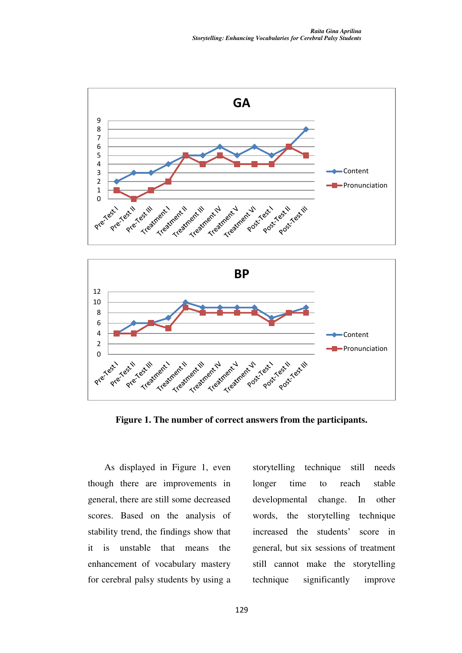



**Figure 1. The number of correct answers from the participants.** 

As displayed in Figure 1, even though there are improvements in general, there are still some decreased scores. Based on the analysis of stability trend, the findings show that it is unstable that means the enhancement of vocabulary mastery for cerebral palsy students by using a storytelling technique still needs longer time to reach stable developmental change. In other words, the storytelling technique increased the students' score in general, but six sessions of treatment still cannot make the storytelling technique significantly improve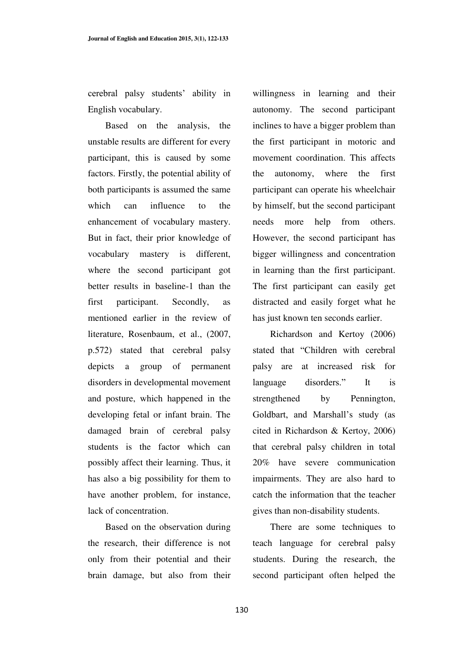cerebral palsy students' ability in English vocabulary.

Based on the analysis, the unstable results are different for every participant, this is caused by some factors. Firstly, the potential ability of both participants is assumed the same which can influence to the enhancement of vocabulary mastery. But in fact, their prior knowledge of vocabulary mastery is different, where the second participant got better results in baseline-1 than the first participant. Secondly, as mentioned earlier in the review of literature, Rosenbaum, et al., (2007, p.572) stated that cerebral palsy depicts a group of permanent disorders in developmental movement and posture, which happened in the developing fetal or infant brain. The damaged brain of cerebral palsy students is the factor which can possibly affect their learning. Thus, it has also a big possibility for them to have another problem, for instance, lack of concentration.

Based on the observation during the research, their difference is not only from their potential and their brain damage, but also from their willingness in learning and their autonomy. The second participant inclines to have a bigger problem than the first participant in motoric and movement coordination. This affects the autonomy, where the first participant can operate his wheelchair by himself, but the second participant needs more help from others. However, the second participant has bigger willingness and concentration in learning than the first participant. The first participant can easily get distracted and easily forget what he has just known ten seconds earlier.

Richardson and Kertoy (2006) stated that "Children with cerebral palsy are at increased risk for language disorders." It is strengthened by Pennington, Goldbart, and Marshall's study (as cited in Richardson & Kertoy, 2006) that cerebral palsy children in total 20% have severe communication impairments. They are also hard to catch the information that the teacher gives than non-disability students.

There are some techniques to teach language for cerebral palsy students. During the research, the second participant often helped the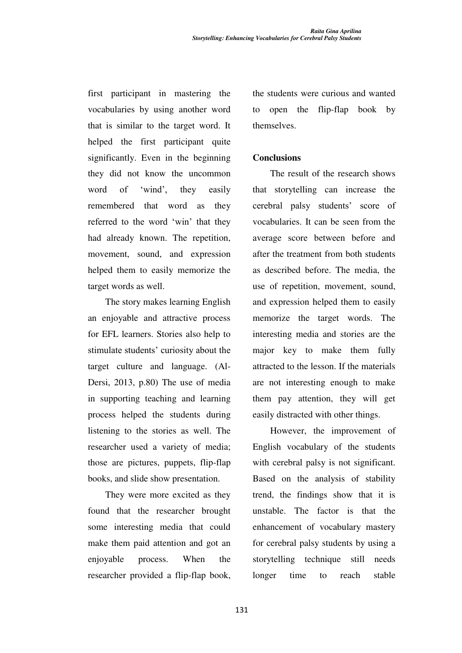first participant in mastering the vocabularies by using another word that is similar to the target word. It helped the first participant quite significantly. Even in the beginning they did not know the uncommon word of 'wind', they easily remembered that word as they referred to the word 'win' that they had already known. The repetition, movement, sound, and expression helped them to easily memorize the target words as well.

The story makes learning English an enjoyable and attractive process for EFL learners. Stories also help to stimulate students' curiosity about the target culture and language. (Al-Dersi, 2013, p.80) The use of media in supporting teaching and learning process helped the students during listening to the stories as well. The researcher used a variety of media; those are pictures, puppets, flip-flap books, and slide show presentation.

They were more excited as they found that the researcher brought some interesting media that could make them paid attention and got an enjoyable process. When the researcher provided a flip-flap book, the students were curious and wanted to open the flip-flap book by themselves.

## **Conclusions**

The result of the research shows that storytelling can increase the cerebral palsy students' score of vocabularies. It can be seen from the average score between before and after the treatment from both students as described before. The media, the use of repetition, movement, sound, and expression helped them to easily memorize the target words. The interesting media and stories are the major key to make them fully attracted to the lesson. If the materials are not interesting enough to make them pay attention, they will get easily distracted with other things.

However, the improvement of English vocabulary of the students with cerebral palsy is not significant. Based on the analysis of stability trend, the findings show that it is unstable. The factor is that the enhancement of vocabulary mastery for cerebral palsy students by using a storytelling technique still needs longer time to reach stable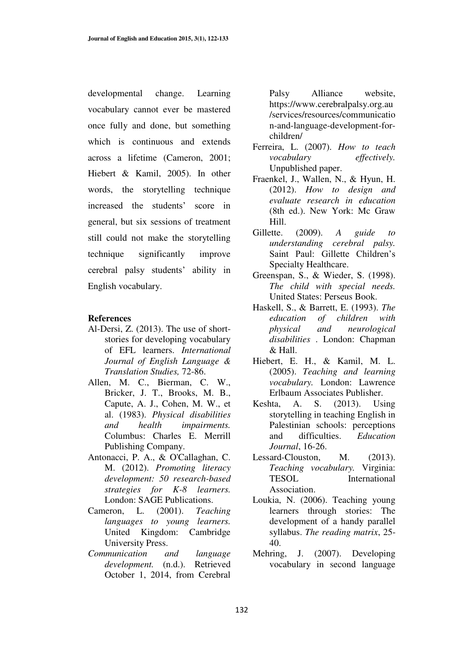developmental change. Learning vocabulary cannot ever be mastered once fully and done, but something which is continuous and extends across a lifetime (Cameron, 2001; Hiebert & Kamil, 2005). In other words, the storytelling technique increased the students' score in general, but six sessions of treatment still could not make the storytelling technique significantly improve cerebral palsy students' ability in English vocabulary.

#### **References**

- Al-Dersi, Z. (2013). The use of shortstories for developing vocabulary of EFL learners. *International Journal of English Language & Translation Studies,* 72-86.
- Allen, M. C., Bierman, C. W., Bricker, J. T., Brooks, M. B., Capute, A. J., Cohen, M. W., et al. (1983). *Physical disabilities and health impairments.* Columbus: Charles E. Merrill Publishing Company.
- Antonacci, P. A., & O'Callaghan, C. M. (2012). *Promoting literacy development: 50 research-based strategies for K-8 learners.* London: SAGE Publications.
- Cameron, L. (2001). *Teaching languages to young learners.* United Kingdom: Cambridge University Press.
- *Communication and language development.* (n.d.). Retrieved October 1, 2014, from Cerebral

Palsy Alliance website, https://www.cerebralpalsy.org.au /services/resources/communicatio n-and-language-development-forchildren/

- Ferreira, L. (2007). *How to teach vocabulary effectively.* Unpublished paper.
- Fraenkel, J., Wallen, N., & Hyun, H. (2012). *How to design and evaluate research in education* (8th ed.). New York: Mc Graw Hill.
- Gillette. (2009). *A guide to understanding cerebral palsy.* Saint Paul: Gillette Children's Specialty Healthcare.
- Greenspan, S., & Wieder, S. (1998). *The child with special needs.* United States: Perseus Book.
- Haskell, S., & Barrett, E. (1993). *The education of children with physical and neurological disabilities* . London: Chapman  $&$  Hall.
- Hiebert, E. H., & Kamil, M. L. (2005). *Teaching and learning vocabulary.* London: Lawrence Erlbaum Associates Publisher.
- Keshta, A. S. (2013). Using storytelling in teaching English in Palestinian schools: perceptions and difficulties. *Education Journal*, 16-26.
- Lessard-Clouston, M. (2013). *Teaching vocabulary.* Virginia: TESOL International Association.
- Loukia, N. (2006). Teaching young learners through stories: The development of a handy parallel syllabus. *The reading matrix*, 25- 40.
- Mehring, J. (2007). Developing vocabulary in second language